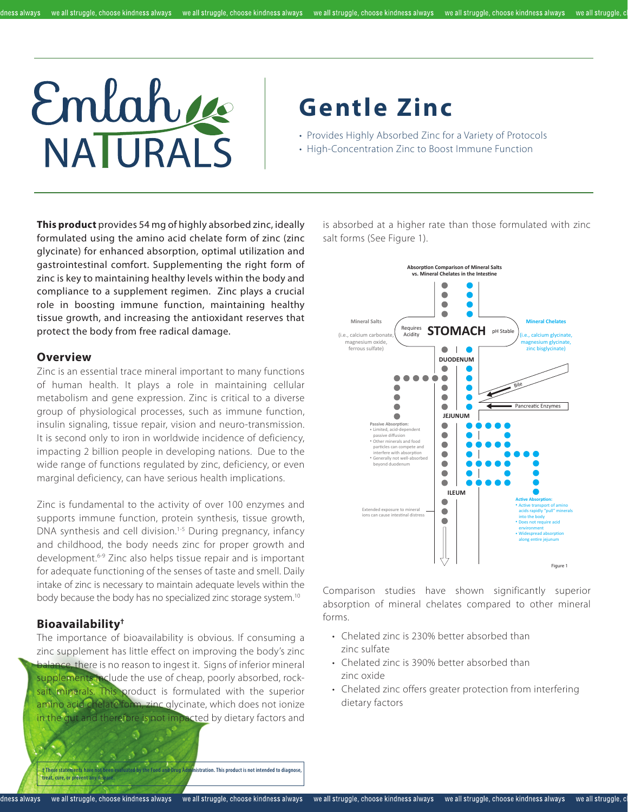#### dness always



# **Gentle Zinc**

• Provides Highly Absorbed Zinc for a Variety of Protocols

• High-Concentration Zinc to Boost Immune Function

**This product** provides 54 mg of highly absorbed zinc, ideally formulated using the amino acid chelate form of zinc (zinc glycinate) for enhanced absorption, optimal utilization and gastrointestinal comfort. Supplementing the right form of zinc is key to maintaining healthy levels within the body and compliance to a supplement regimen. Zinc plays a crucial role in boosting immune function, maintaining healthy tissue growth, and increasing the antioxidant reserves that protect the body from free radical damage.

#### **Overview**

Zinc is an essential trace mineral important to many functions of human health. It plays a role in maintaining cellular metabolism and gene expression. Zinc is critical to a diverse group of physiological processes, such as immune function, insulin signaling, tissue repair, vision and neuro-transmission. It is second only to iron in worldwide incidence of deficiency, impacting 2 billion people in developing nations. Due to the wide range of functions regulated by zinc, deficiency, or even marginal deficiency, can have serious health implications.

Zinc is fundamental to the activity of over 100 enzymes and supports immune function, protein synthesis, tissue growth, DNA synthesis and cell division.<sup>1-5</sup> During pregnancy, infancy and childhood, the body needs zinc for proper growth and development.6-9 Zinc also helps tissue repair and is important for adequate functioning of the senses of taste and smell. Daily intake of zinc is necessary to maintain adequate levels within the body because the body has no specialized zinc storage system.<sup>10</sup>

# **Bioavailability†**

The importance of bioavailability is obvious. If consuming a zinc supplement has little effect on improving the body's zinc balance, there is no reason to ingest it. Signs of inferior mineral supplements include the use of cheap, poorly absorbed, rocksalt minerals. This product is formulated with the superior amino acid chelate form, zinc glycinate, which does not ionize in the gut and therefore is not impacted by dietary factors and

is absorbed at a higher rate than those formulated with zinc salt forms (See Figure 1).



Comparison studies have shown significantly superior absorption of mineral chelates compared to other mineral forms.

- Chelated zinc is 230% better absorbed than zinc sulfate
- Chelated zinc is 390% better absorbed than zinc oxide
- Chelated zinc offers greater protection from interfering dietary factors

**† These statements have not been evaluated by the Food and Drug Administration. This product is not intended to diagnose, treat, cure, or prevent any discrete**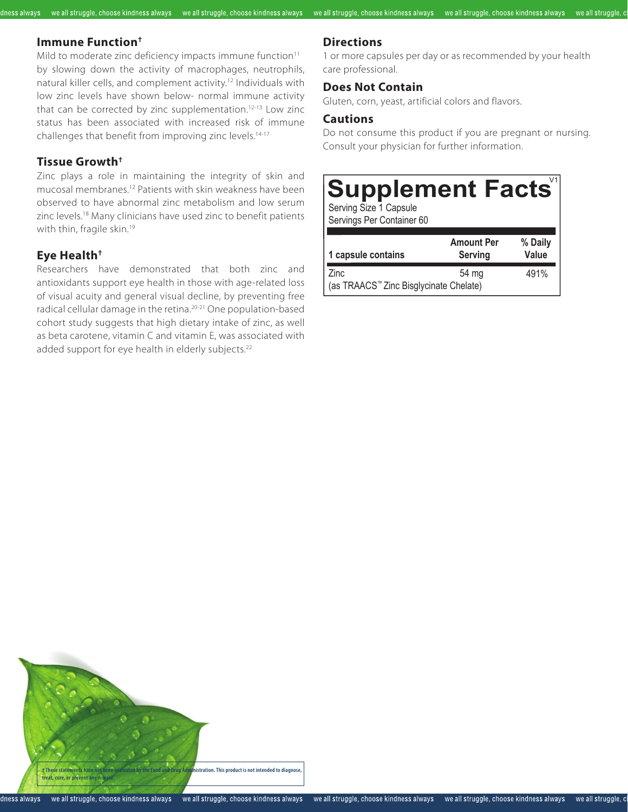### **Immune Function†**

dness always

Mild to moderate zinc deficiency impacts immune function<sup>11</sup> by slowing down the activity of macrophages, neutrophils, natural killer cells, and complement activity.12 Individuals with low zinc levels have shown below- normal immune activity that can be corrected by zinc supplementation.<sup>12-13</sup> Low zinc status has been associated with increased risk of immune challenges that benefit from improving zinc levels.<sup>14-17</sup>

#### **Tissue Growth†**

Zinc plays a role in maintaining the integrity of skin and mucosal membranes.12 Patients with skin weakness have been observed to have abnormal zinc metabolism and low serum zinc levels.18 Many clinicians have used zinc to benefit patients with thin, fragile skin.<sup>19</sup>

# **Eye Health†**

Researchers have demonstrated that both zinc and antioxidants support eye health in those with age-related loss of visual acuity and general visual decline, by preventing free radical cellular damage in the retina.<sup>20-21</sup> One population-based cohort study suggests that high dietary intake of zinc, as well as beta carotene, vitamin C and vitamin E, was associated with added support for eye health in elderly subjects.<sup>22</sup>

# **Directions**

we all struggle, choose kindness always we all struggle, choose kindness always we all struggle, choose kindness always we all struggle, choose kindness always we all struggle, choose kindness always

1 or more capsules per day or as recommended by your health care professional.

we all struggle, o

#### **Does Not Contain**

Gluten, corn, yeast, artificial colors and flavors.

### **Cautions**

Do not consume this product if you are pregnant or nursing. Consult your physician for further information.

# **Supplement Facts**

Serving Size 1 Capsule Servings Per Container 60

| 1 capsule contains                                 | <b>Amount Per</b><br><b>Serving</b> | % Daily<br>Value |
|----------------------------------------------------|-------------------------------------|------------------|
| Zinc                                               | 54 mg                               | 491%             |
| (as TRAACS <sup>™</sup> Zinc Bisglycinate Chelate) |                                     |                  |